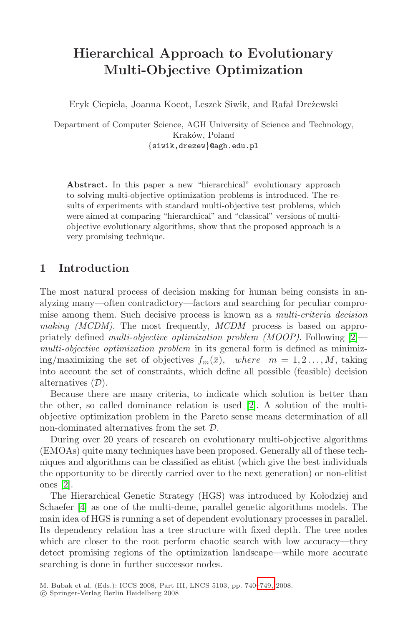# **Hierarchical Approach to Evolutionary Multi-Objective Optimization**

Eryk Ciepiela, Joanna Kocot, Leszek Siwik, and Rafał Dreżewski

Department of Computer Science, AGH University of Science and Technology, Kraków, Poland {siwik,drezew}@agh.edu.pl

Abstract. In this paper a new "hierarchical" evolutionary approach to solving multi-objective optimization problems is introduced. The results of experiments with standard multi-objective test problems, which were aimed at comparing "hierarchical" and "classical" versions of multiobjective evolutionary algorithms, show that the proposed approach is a very promising technique.

# **1 Introduction**

The most natural process of decision making for human being consists in analyzing many—often contradictory—factors and searching for peculiar compromise among them. Such decisi[ve](#page-9-0) process is known as a multi-criteria decision making (MCDM). The most frequently, MCDM process is based on appropriately defined multi-objective optimization problem (MOOP). Following [2] multi-objective optimization problem in its general form is defined as minimizing/maximizing the set of objectives  $f_m(\bar{x})$ , where  $m = 1, 2, ..., M$ , taking into account the set of constraints, which define all possible (feasible) decision alternatives  $(D)$ .

Because there are many criteria, to indicate which solution is better than the other, so called dominance relation is used [2]. A solution of the multiobjective optimization problem in the Pareto sense means determination of all non-dominated alternatives from the set D.

During over 20 years of research on evolutionary multi-objective algorithms (EMOAs) quite many techniques have been proposed. Generally all of these techniques and algorithms can be classified as elitist (which give the best individuals the opportunity to be directly carried over to the next generation) or non-elitist ones [2].

The Hierarchical Genetic Stra[tegy](#page-9-1) (HGS) was introduced by Kołodziej and Schaefer [4] as one of the multi-deme, parallel genetic algorithms models. The main idea of HGS is running a set of dependent evolutionary processes in parallel. Its dependency relation has a tree structure with fixed depth. The tree nodes which are closer to the root perform chaotic search with low accuracy—they detect promising regions of the optimization landscape—while more accurate searching is done in further successor nodes.

M. Bubak et al. (Eds.): ICCS 2008, Part III, LNCS 5103, pp. 740–749, 2008.

<sup>-</sup>c Springer-Verlag Berlin Heidelberg 2008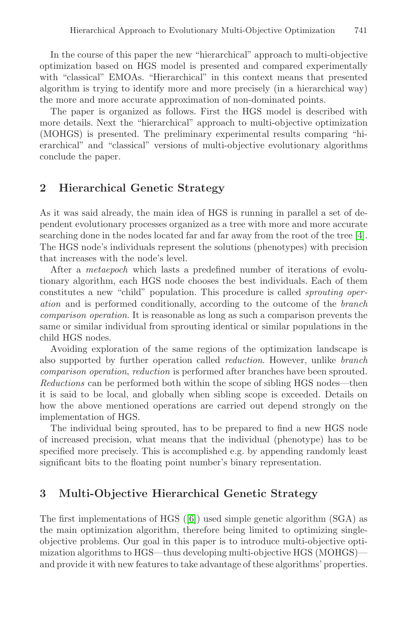In the course of this paper the new "hierarchical" approach to multi-objective optimization based on HGS model is presented and compared experimentally with "classical" EMOAs. "Hierarchical" in this context means that presented algorithm is trying to identify more and more precisely (in a hierarchical way) the more and more accurate approximation of non-dominated points.

The paper is organized as follows. First the HGS model is described with more details. Next the "hierarchical" approach to multi-objective optimization (MOHGS) is presented. The preliminary experimental results comparing "hierarchical" and "classical" versions of multi-objective ev[olu](#page-9-2)tionary algorithms conclude the paper.

# **2 Hierarchical Genetic Strategy**

As it was said already, the main idea of HGS is running in parallel a set of dependent evolutionary processes organized as a tree with more and more accurate searching done in the nodes located far and far away from the root of the tree [4]. The HGS node's individuals represent the solutions (phenotypes) with precision that increases with the node's level.

After a metaepoch which lasts a predefined number of iterations of evolutionary algorithm, each HGS node chooses the best individuals. Each of them constitutes a new "child" population. This procedure is called sprouting operation and is performed conditionally, according to the outcome of the branch comparison operation. It is reasonable as long as such a comparison prevents the same or similar individual from sprouting identical or similar populations in the child HGS nodes.

Avoiding exploration of the same regions of the optimization landscape is also supported by further operation called reduction. However, unlike branch comparison operation, reduction is performed after branches have been sprouted. Reductions can be performed both within the scope of sibling HGS nodes—then it is said to be local, and globally when sibling scope is exceeded. Details on how the above mentioned operations are carried out depend strongly on the implementation of HGS.

The individua[l b](#page-9-3)eing sprouted, has to be prepared to find a new HGS node of increased precision, what means that the individual (phenotype) has to be specified more precisely. This is accomplished e.g. by appending randomly least significant bits to the floating point number's binary representation.

# **3 Multi-Objective Hierarchical Genetic Strategy**

The first implementations of HGS ([6]) used simple genetic algorithm (SGA) as the main optimization algorithm, therefore being limited to optimizing singleobjective problems. Our goal in this paper is to introduce multi-objective optimization algorithms to HGS—thus developing multi-objective HGS (MOHGS) and provide it with new features to take advantage of these algorithms' properties.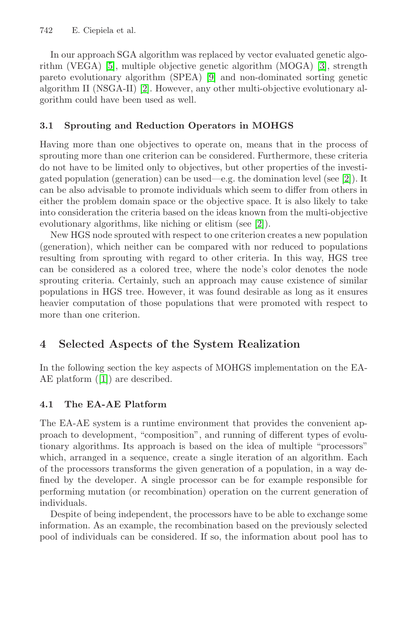<span id="page-2-0"></span>In our approach SGA algorithm was replaced by vector evaluated genetic algorithm (VEGA) [5], multiple objective genetic algorithm (MOGA) [3], strength pareto evolutionary algorithm (SPEA) [9] and non-dominated sorting genetic algorithm II (NSGA-II) [2]. However, any other multi-[ob](#page-9-0)jective evolutionary algorithm could have been used as well.

#### **3.1 Sprouting and Reduction Operators in MOHGS**

Having more than one objective[s](#page-9-0) [t](#page-9-0)o operate on, means that in the process of sprouting more than one criterion can be considered. Furthermore, these criteria do not have to be limited only to objectives, but other properties of the investigated population (generation) can be used—e.g. the domination level (see [2]). It can be also advisable to promote individuals which seem to differ from others in either the problem domain space or the objective space. It is also likely to take into consideration the criteria based on the ideas known from the multi-objective evolutionary algorithms, like niching or elitism (see [2]).

New HGS node sprouted with respect to one criterion creates a new population (generation), which neither can be compared with nor reduced to populations resulting from sprouting with regard to other criteria. In this way, HGS tree can be considered as a colored tree, where the node's color denotes the node sprouting criteria. Certainly, such an approach may cause existence of similar populations in HGS tree. However, it was found desirable as long as it ensures heavier computation of those populations that were promoted with respect to more than one criterion.

# **4 Selected Aspects of the System Realization**

In the following section the key aspects of MOHGS implementation on the EA-AE platform ([1]) are described.

### **4.1 The EA-AE Platform**

The EA-AE system is a runtime environment that provides the convenient approach to development, "composition", and running of different types of evolutionary algorithms. Its approach is based on the idea of multiple "processors" which, arranged in a sequence, create a single iteration of an algorithm. Each of the processors transforms the given generation of a population, in a way defined by the developer. A single processor can be for example responsible for performing mutation (or recombination) operation on the current generation of individuals.

Despite of being independent, the processors have to be able to exchange some information. As an example, the recombination based on the previously selected pool of individuals can be considered. If so, the information about pool has to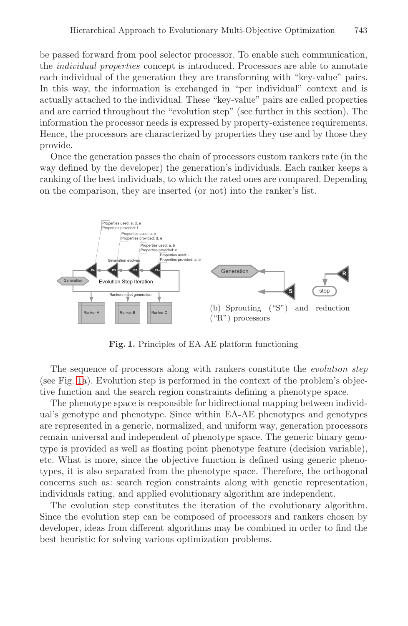be passed forward from pool selector processor. To enable such communication, the individual properties concept is introduced. Processors are able to annotate each individual of the generation they are transforming with "key-value" pairs. In this way, the information is exchanged in "per individual" context and is actually attached to the individual. These "key-value" pairs are called properties and are carried throughout the "evolution step" (see further in this section). The information the processor needs is expressed by property-existence requirements. Hence, the processors are characterized by properties they use and by those they provide.

Once the generation passes the chain of processors custom rankers rate (in the way defined by the developer) the generation's individuals. Each ranker keeps a ranking of the best individuals, to which the rated ones are compared. Depending on the comparison, they are inserted (or not) into the ranker's list.



**Fig. 1.** Principles of EA-AE platform functioning

The sequence of processors along with rankers constitute the evolution step (see Fig. 1a). Evolution step is performed in the context of the problem's objective function and the search region constraints defining a phenotype space.

The phenotype space is responsible for bidirectional mapping between individual's genotype and phenotype. Since within EA-AE phenotypes and genotypes are represented in a generic, normalized, and uniform way, generation processors remain universal and independent of phenotype space. The generic binary genotype is provided as well as floating point phenotype feature (decision variable), etc. What is more, since the objective function is defined using generic phenotypes, it is also separated from the phenotype space. Therefore, the orthogonal concerns such as: search region constraints along with genetic representation, individuals rating, and applied evolutionary algorithm are independent.

The evolution step constitutes the iteration of the evolutionary algorithm. Since the evolution step can be composed of processors and rankers chosen by developer, ideas from different algorithms may be combined in order to find the best heuristic for solving various optimization problems.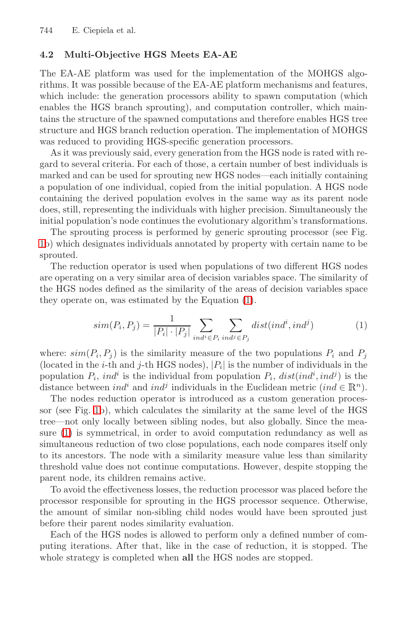## **4.2 Multi-Objective HGS Meets EA-AE**

The EA-AE platform was used for the implementation of the MOHGS algorithms. It was possible because of the EA-AE platform mechanisms and features, which include: the generation processors ability to spawn computation (which enables the HGS branch sprouting), and computation controller, which maintains the structure of the spawned computations and therefore enables HGS tree structure and HGS branch reduction operation. The implementation of MOHGS was reduced to providing HGS-specific generation processors.

As it was previously said, every generation from the HGS node is rated with regard to several criteria. For each of those, a certain number of best individuals is marked and can be used for sprouting new HGS nodes—each initially containing a population of one individual, copied from the initial population. A HGS node containing the derived population evolves in the same way as its parent node does, still, representing the ind[ivi](#page-4-0)duals with higher precision. Simultaneously the initial population's node continues the evolutionary algorithm's transformations.

<span id="page-4-0"></span>The sprouting process is performed by generic sprouting processor (see Fig. 1b) which designates individuals annotated by property with certain name to be sprouted.

The reduction operator is used when populations of two different HGS nodes are operating on a very similar area of decision variables space. The similarity of the HGS nodes defined as the similarity of the areas of decision variables space they operate on, was estimated by the Equation (1).

$$
sim(P_i, P_j) = \frac{1}{|P_i| \cdot |P_j|} \sum_{ind^i \in P_i} \sum_{ind^j \in P_j} dist(ind^i, ind^j)
$$
(1)

where:  $sim(P_i, P_j)$  is the similarity measure of the two populations  $P_i$  and  $P_j$ (located in the *i*-th and *j*-th HGS nodes),  $|P_i|$  is the number of individuals in the population  $P_i$ , ind<sup>i</sup> is the individual from population  $P_i$ ,  $dist(ind^i, ind^j)$  is the distance between ind<sup>i</sup> and ind<sup>j</sup> individuals in the Euclidean metric (ind  $\in \mathbb{R}^{n}$ ).

The nodes reduction operator is introduced as a custom generation processor (see Fig. 1b), which calculates the similarity at the same level of the HGS tree—not only locally between sibling nodes, but also globally. Since the measure (1) is symmetrical, in order to avoid computation redundancy as well as simultaneous reduction of two close populations, each node compares itself only to its ancestors. The node with a similarity measure value less than similarity threshold value does not continue computations. However, despite stopping the parent node, its children remains active.

To avoid the effectiveness losses, the reduction processor was placed before the processor responsible for sprouting in the HGS processor sequence. Otherwise, the amount of similar non-sibling child nodes would have been sprouted just before their parent nodes similarity evaluation.

Each of the HGS nodes is allowed to perform only a defined number of computing iterations. After that, like in the case of reduction, it is stopped. The whole strategy is completed when **all** the HGS nodes are stopped.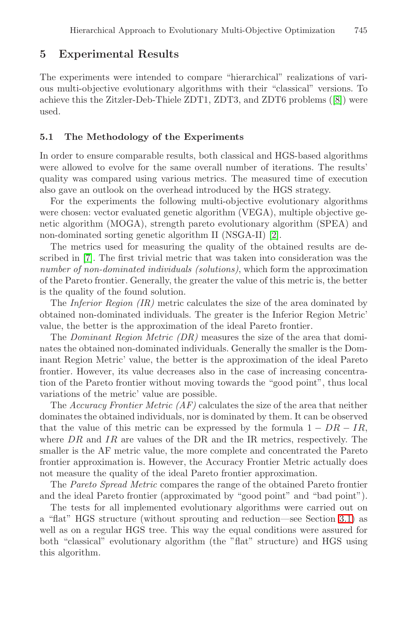# **5 Experimental Results**

The experiments were intended to compare "hierarchical" realizations of various multi-objective evolutionary algorithms with their "classical" versions. To achieve this the Zitzler-Deb-Thiele ZDT1, ZDT3, and ZDT6 problems ([8]) were used.

### **5.1 The Methodology of the Experiments**

In order to ensure comparable result[s,](#page-9-0) [b](#page-9-0)oth classical and HGS-based algorithms were allowed to evolve for the same overall number of iterations. The results' quality was compared using various metrics. The measured time of execution also gave an outlook on the overhead introduced by the HGS strategy.

For the experiments the following multi-objective evolutionary algorithms were chosen: vector evaluated genetic algorithm (VEGA), multiple objective genetic algorithm (MOGA), strength pareto evolutionary algorithm (SPEA) and non-dominated sorting genetic algorithm II (NSGA-II) [2].

The metrics used for measuring the quality of the obtained results are described in [7]. The first trivial metric that was taken into consideration was the number of non-dominated individuals (solutions), which form the approximation of the Pareto frontier. Generally, the greater the value of this metric is, the better is the quality of the found solution.

The Inferior Region  $(IR)$  metric calculates the size of the area dominated by obtained non-dominated individuals. The greater is the Inferior Region Metric' value, the better is the approximation of the ideal Pareto frontier.

The Dominant Region Metric (DR) measures the size of the area that dominates the obtained non-dominated individuals. Generally the smaller is the Dominant Region Metric' value, the better is the approximation of the ideal Pareto frontier. However, its value decreases also in the case of increasing concentration of the Pareto frontier without moving towards the "good point", thus local variations of the metric' value are possible.

The Accuracy Frontier Metric (AF) calculates the size of the area that neither dominates the obtained individuals, nor is dominated by them. It can be observed that the value of this metric can be expressed by t[he fo](#page-2-0)rmula  $1 - DR - IR$ , where  $DR$  and  $IR$  are values of the DR and the IR metrics, respectively. The smaller is the AF metric value, the more complete and concentrated the Pareto frontier approximation is. However, the Accuracy Frontier Metric actually does not measure the quality of the ideal Pareto frontier approximation.

The Pareto Spread Metric compares the range of the obtained Pareto frontier and the ideal Pareto frontier (approximated by "good point" and "bad point").

The tests for all implemented evolutionary algorithms were carried out on a "flat" HGS structure (without sprouting and reduction—see Section 3.1) as well as on a regular HGS tree. This way the equal conditions were assured for both "classical" evolutionary algorithm (the "flat" structure) and HGS using this algorithm.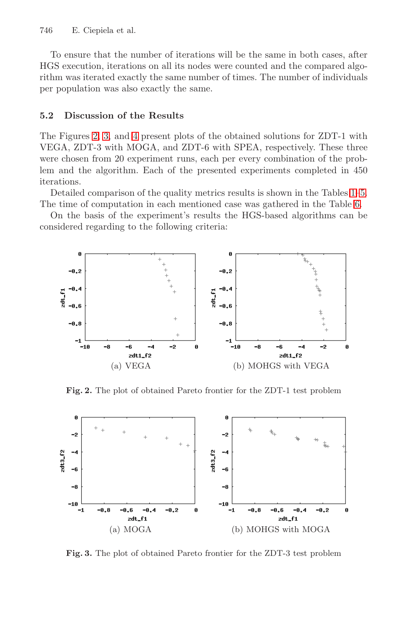[To](#page-7-0) ensure that the number of iterations will be the same in both cases, after HGS execution, iterations on all its nodes were counted and the compared algorithm was iterated exactly the same number of times. The number of individuals per population was also exactly the same.

## **5.2 Discussion of the Results**

The Figures 2, 3, and 4 present plots of the obtained solutions for ZDT-1 with VEGA, ZDT-3 with MOGA, and ZDT-6 with SPEA, respectively. These three were chosen from 20 experiment runs, each per every combination of the problem and the algorithm. Each of the presented experiments completed in 450 iterations.

Detailed comparison of the quality metrics results is shown in the Tables 1–5. The time of computation in each mentioned case was gathered in the Table 6.

On the basis of the experiment's results the HGS-based algorithms can be considered regarding to the following criteria:

<span id="page-6-0"></span>

**Fig. 2.** The plot of obtained Pareto frontier for the ZDT-1 test problem

<span id="page-6-1"></span>

**Fig. 3.** The plot of obtained Pareto frontier for the ZDT-3 test problem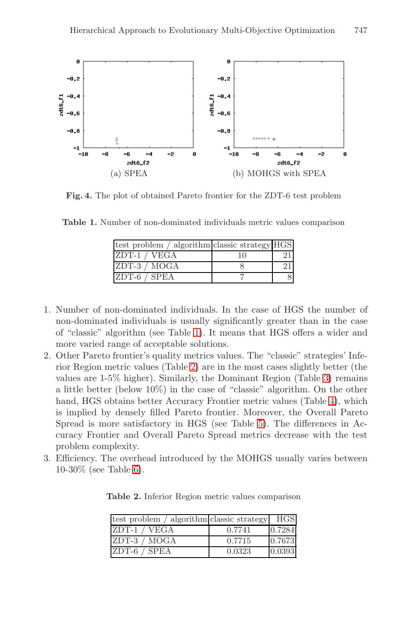<span id="page-7-0"></span>

<span id="page-7-1"></span>**Fig. 4.** The plot of obtained Pareto frontier for the ZDT-6 test problem

**Table 1.** Number of non-dominated individuals metric values comparison

| test problem / algorithm classic strategy HGS |    |  |
|-----------------------------------------------|----|--|
| ZDT-1 / VEGA                                  | 10 |  |
| $ZDT-3$ / MOGA                                |    |  |
| ZDT-6 / SPEA                                  |    |  |

- 1. Number of non-dominated individuals. In the [ca](#page-8-0)se of HGS the number of non-dominated individuals is usually significantly greater than in the case of "classic" algorithm (see T[abl](#page-8-1)e 1). It means that HGS offers a wider and more varied range of acceptable solutions.
- 2. Other Pareto frontier's quality metrics values. The "classic" strategies' Inferior Region metric values (Table 2) are in the most cases slightly better (the [va](#page-8-2)lues are 1-5% higher). Similarly, the Dominant Region (Table 3) remains a little better (below 10%) in the case of "classic" algorithm. On the other hand, HGS obtains better Accuracy Frontier metric values (Table 4), which is implied by densely filled Pareto frontier. Moreover, the Overall Pareto Spread is more satisfactory in HGS (see Table 5). The differences in Accuracy Frontier and Overall Pareto Spread metrics decrease with the test problem complexity.
- <span id="page-7-2"></span>3. Efficiency. The overhead introduced by the MOHGS usually varies between 10-30% (see Table 6).

**Table 2.** Inferior Region metric values comparison

| test problem / algorithm classic strategy HGS |        |        |
|-----------------------------------------------|--------|--------|
| ZDT-1 / VEGA                                  | 0.7741 | 0.7284 |
| ZDT-3 / MOGA                                  | 0.7715 | 0.7673 |
| $ZDT-6 / SPEA$                                | 0.0323 | 0.0393 |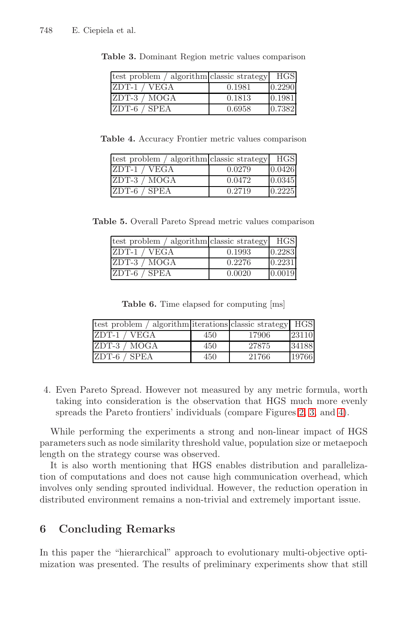| test problem / algorithm classic strategy HGS |        |        |
|-----------------------------------------------|--------|--------|
| ZDT-1 / VEGA                                  | 0.1981 | 0.2290 |
| $ZDT-3/MOGA$                                  | 0.1813 | 0.1981 |
| $ZDT-6$ / SPEA                                | 0.6958 | 0.7382 |

<span id="page-8-0"></span>**Table 3.** Dominant Region metric values comparison

<span id="page-8-1"></span>**Table 4.** Accuracy Frontier metric values comparison

| test problem / algorithm classic strategy HGS |        |        |
|-----------------------------------------------|--------|--------|
| $ZDT-1 / VEGA$                                | 0.0279 | 0.0426 |
| $ZDT-3 / MOGA$                                | 0.0472 | 0.0345 |
| $ZDT-6$ / SPEA                                | 0.2719 | 0.2225 |

<span id="page-8-2"></span>**Table 5.** Overall Pareto Spread metric values comparison

| test problem / algorithm classic strategy HGS |        |        |
|-----------------------------------------------|--------|--------|
| ZDT-1 / VEGA                                  | 0.1993 | 0.2283 |
| ZDT-3 / MOGA                                  | 0.2276 | 0.2231 |
| $ZDT-6 / SPEA$                                | 0.0020 | 0.0019 |

**Table 6.** Time elapsed for computing [ms]

| test problem / algorithm iterations classic strategy HGS |     |       |       |
|----------------------------------------------------------|-----|-------|-------|
| $ZDT-1 / VEGA$                                           | 450 | 17906 | 23110 |
| $ZDT-3 / MOGA$                                           | 450 | 27875 | 34188 |
| ZDT-6 / SPEA                                             | 450 | 21766 | 19766 |

4. Even Pareto Spread. However not measured by any metric formula, worth taking into consideration is the observation that HGS much more evenly spreads the Pareto frontiers' individuals (compare Figures 2, 3, and 4).

While performing the experiments a strong and non-linear impact of HGS parameters such as node similarity threshold value, population size or metaepoch length on the strategy course was observed.

It is also worth mentioning that HGS enables distribution and parallelization of computations and does not cause high communication overhead, which involves only sending sprouted individual. However, the reduction operation in distributed environment remains a non-trivial and extremely important issue.

# **6 Concluding Remarks**

In this paper the "hierarchical" approach to evolutionary multi-objective optimization was presented. The results of preliminary experiments show that still